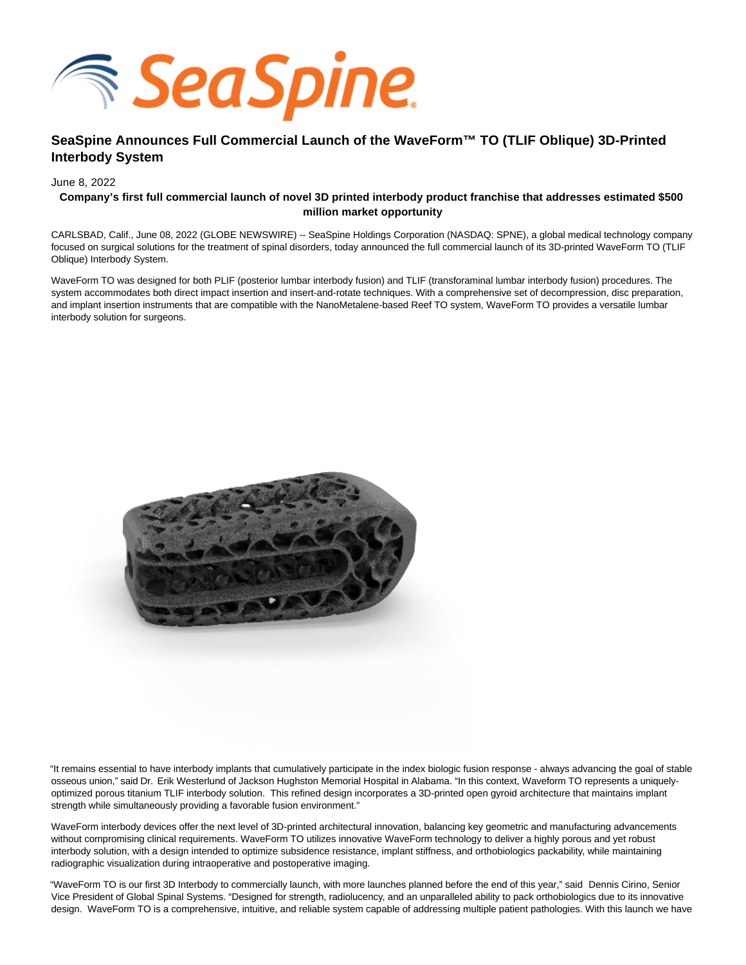

# **SeaSpine Announces Full Commercial Launch of the WaveForm™ TO (TLIF Oblique) 3D-Printed Interbody System**

June 8, 2022

## **Company's first full commercial launch of novel 3D printed interbody product franchise that addresses estimated \$500 million market opportunity**

CARLSBAD, Calif., June 08, 2022 (GLOBE NEWSWIRE) -- SeaSpine Holdings Corporation (NASDAQ: SPNE), a global medical technology company focused on surgical solutions for the treatment of spinal disorders, today announced the full commercial launch of its 3D-printed WaveForm TO (TLIF Oblique) Interbody System.

WaveForm TO was designed for both PLIF (posterior lumbar interbody fusion) and TLIF (transforaminal lumbar interbody fusion) procedures. The system accommodates both direct impact insertion and insert-and-rotate techniques. With a comprehensive set of decompression, disc preparation, and implant insertion instruments that are compatible with the NanoMetalene-based Reef TO system, WaveForm TO provides a versatile lumbar interbody solution for surgeons.



"It remains essential to have interbody implants that cumulatively participate in the index biologic fusion response - always advancing the goal of stable osseous union," said Dr. Erik Westerlund of Jackson Hughston Memorial Hospital in Alabama. "In this context, Waveform TO represents a uniquelyoptimized porous titanium TLIF interbody solution. This refined design incorporates a 3D-printed open gyroid architecture that maintains implant strength while simultaneously providing a favorable fusion environment."

WaveForm interbody devices offer the next level of 3D-printed architectural innovation, balancing key geometric and manufacturing advancements without compromising clinical requirements. WaveForm TO utilizes innovative WaveForm technology to deliver a highly porous and yet robust interbody solution, with a design intended to optimize subsidence resistance, implant stiffness, and orthobiologics packability, while maintaining radiographic visualization during intraoperative and postoperative imaging.

"WaveForm TO is our first 3D Interbody to commercially launch, with more launches planned before the end of this year," said Dennis Cirino, Senior Vice President of Global Spinal Systems. "Designed for strength, radiolucency, and an unparalleled ability to pack orthobiologics due to its innovative design. WaveForm TO is a comprehensive, intuitive, and reliable system capable of addressing multiple patient pathologies. With this launch we have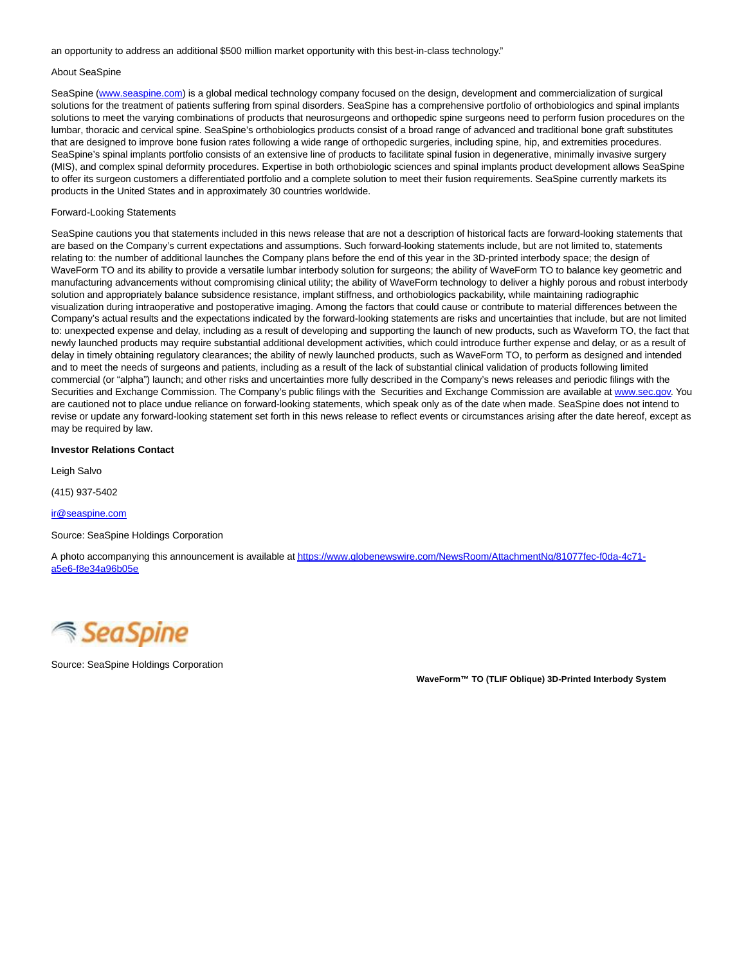an opportunity to address an additional \$500 million market opportunity with this best-in-class technology."

### About SeaSpine

SeaSpine [\(www.seaspine.com\)](http://www.seaspine.com/) is a global medical technology company focused on the design, development and commercialization of surgical solutions for the treatment of patients suffering from spinal disorders. SeaSpine has a comprehensive portfolio of orthobiologics and spinal implants solutions to meet the varying combinations of products that neurosurgeons and orthopedic spine surgeons need to perform fusion procedures on the lumbar, thoracic and cervical spine. SeaSpine's orthobiologics products consist of a broad range of advanced and traditional bone graft substitutes that are designed to improve bone fusion rates following a wide range of orthopedic surgeries, including spine, hip, and extremities procedures. SeaSpine's spinal implants portfolio consists of an extensive line of products to facilitate spinal fusion in degenerative, minimally invasive surgery (MIS), and complex spinal deformity procedures. Expertise in both orthobiologic sciences and spinal implants product development allows SeaSpine to offer its surgeon customers a differentiated portfolio and a complete solution to meet their fusion requirements. SeaSpine currently markets its products in the United States and in approximately 30 countries worldwide.

#### Forward-Looking Statements

SeaSpine cautions you that statements included in this news release that are not a description of historical facts are forward-looking statements that are based on the Company's current expectations and assumptions. Such forward-looking statements include, but are not limited to, statements relating to: the number of additional launches the Company plans before the end of this year in the 3D-printed interbody space; the design of WaveForm TO and its ability to provide a versatile lumbar interbody solution for surgeons; the ability of WaveForm TO to balance key geometric and manufacturing advancements without compromising clinical utility; the ability of WaveForm technology to deliver a highly porous and robust interbody solution and appropriately balance subsidence resistance, implant stiffness, and orthobiologics packability, while maintaining radiographic visualization during intraoperative and postoperative imaging. Among the factors that could cause or contribute to material differences between the Company's actual results and the expectations indicated by the forward-looking statements are risks and uncertainties that include, but are not limited to: unexpected expense and delay, including as a result of developing and supporting the launch of new products, such as Waveform TO, the fact that newly launched products may require substantial additional development activities, which could introduce further expense and delay, or as a result of delay in timely obtaining regulatory clearances; the ability of newly launched products, such as WaveForm TO, to perform as designed and intended and to meet the needs of surgeons and patients, including as a result of the lack of substantial clinical validation of products following limited commercial (or "alpha") launch; and other risks and uncertainties more fully described in the Company's news releases and periodic filings with the Securities and Exchange Commission. The Company's public filings with the Securities and Exchange Commission are available at [www.sec.gov.](http://www.sec.gov/) You are cautioned not to place undue reliance on forward-looking statements, which speak only as of the date when made. SeaSpine does not intend to revise or update any forward-looking statement set forth in this news release to reflect events or circumstances arising after the date hereof, except as may be required by law.

### **Investor Relations Contact**

Leigh Salvo

(415) 937-5402

[ir@seaspine.com](mailto:ir@seaspine.com)

Source: SeaSpine Holdings Corporation

A photo accompanying this announcement is available a[t https://www.globenewswire.com/NewsRoom/AttachmentNg/81077fec-f0da-4c71](https://www.globenewswire.com/Tracker?data=Faydx44tE2d9WSkBqN96L8l87CMtjiuXII9nc0jTqRMo5YEBQHG2OFLdH98JLyRZTXgXNBb3CW5wstCCfacxxgdyooGKeDFFkYT_p6HWN09pwp2_dejqII0f2M8CDW8deZLLEBhxRJNknc11-rh35ld0mQr6MNve3pavjZ-5RHww6rtrSWTMvbMk1s_XDuR5sQOnQ8d4MPljFFC-fabEE0XZGO2_LzZgbqn_HCSCLQrx68vkslCRku3PCYb0KP6fDuI-hRb2gXCXOI_OKTWHPQ==) a5e6-f8e34a96b05e



Source: SeaSpine Holdings Corporation

**WaveForm™ TO (TLIF Oblique) 3D-Printed Interbody System**